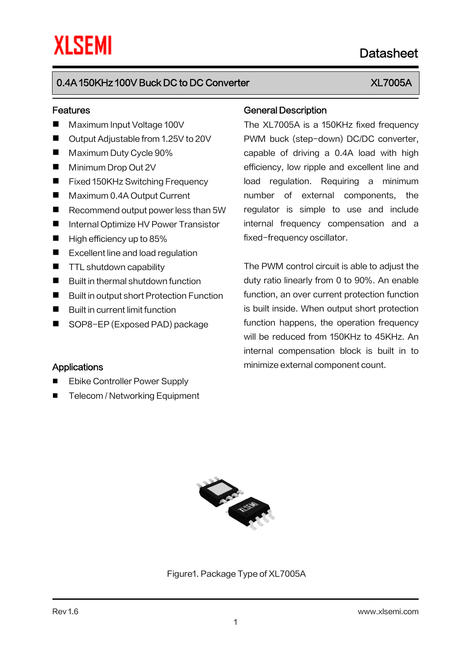# 0.4A 150KHz 100V Buck DC to DC Converter New York New YEAR AND NOTE AND THE RESERVE TO A RESERVE THE UPSTALL

### Features

- Maximum Input Voltage 100V
- Output Adjustable from 1.25V to 20V
- **Maximum Duty Cycle 90%**
- **Minimum Drop Out 2V**
- Fixed 150KHz Switching Frequency
- Maximum 0.4A Output Current
- Recommend output power less than 5W
- Internal Optimize HV Power Transistor
- $\blacksquare$  High efficiency up to 85%
- Excellent line and load regulation
- **THE Shutdown capability**
- $\blacksquare$  Built in thermal shutdown function
- Built in output short Protection Function
- Built in current limit function

**Applications** 

■ SOP8-EP (Exposed PAD) package

 Ebike Controller Power Supply ■ Telecom / Networking Equipment

### General Description

The XL7005A is a 150KHz fixed frequency PWM buck (step-down) DC/DC converter, capable of driving a 0.4A load with high efficiency, low ripple and excellent line and load regulation. Requiring a minimum number of external components, the regulator is simple to use and include internal frequency compensation and a fixed-frequency oscillator.

The PWM control circuit is able to adjust the duty ratio linearly from 0 to 90%. An enable function, an over current protection function is built inside. When output short protection function happens, the operation frequency will be reduced from 150KHz to 45KHz. An internal compensation block is built in to minimize external component count.

Figure1. Package Type of XL7005A

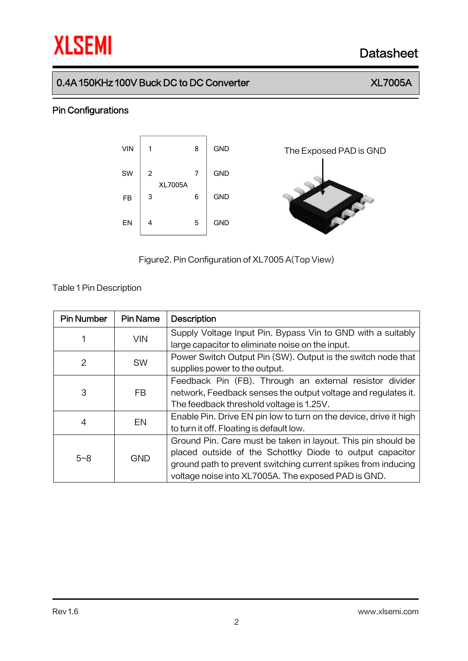# **XLSEMI** Datasheet

# 0.4A 150KHz 100V Buck DC to DC Converter XL7005A

## Pin Configurations



Figure2.Pin Configuration of XL7005 A(Top View)

Table 1Pin Description

| <b>Pin Number</b> | <b>Pin Name</b> | <b>Description</b>                                                |
|-------------------|-----------------|-------------------------------------------------------------------|
|                   | <b>VIN</b>      | Supply Voltage Input Pin. Bypass Vin to GND with a suitably       |
|                   |                 | large capacitor to eliminate noise on the input.                  |
| 2                 |                 | Power Switch Output Pin (SW). Output is the switch node that      |
|                   | <b>SW</b>       | supplies power to the output.                                     |
|                   | FB.             | Feedback Pin (FB). Through an external resistor divider           |
| 3                 |                 | network, Feedback senses the output voltage and regulates it.     |
|                   |                 | The feedback threshold voltage is 1.25V.                          |
| 4                 | EN              | Enable Pin. Drive EN pin low to turn on the device, drive it high |
|                   |                 | to turn it off. Floating is default low.                          |
| $5 - 8$           | <b>GND</b>      | Ground Pin. Care must be taken in layout. This pin should be      |
|                   |                 | placed outside of the Schottky Diode to output capacitor          |
|                   |                 | ground path to prevent switching current spikes from inducing     |
|                   |                 | voltage noise into XL7005A. The exposed PAD is GND.               |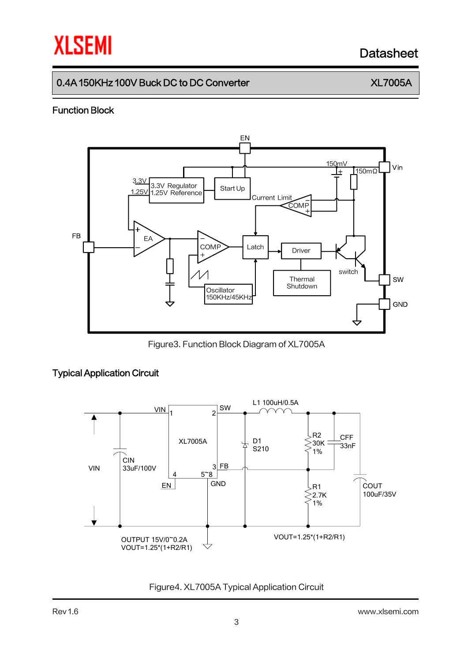# **XLSEMI** Datasheet

# 0.4A 150KHz 100V Buck DC to DC Converter New York New YEAR AND NOTE AND THE RESERVE TO A RESERVE THE UPSTALL

## Function Block



Figure3. Function Block Diagram of XL7005A

## Typical Application Circuit



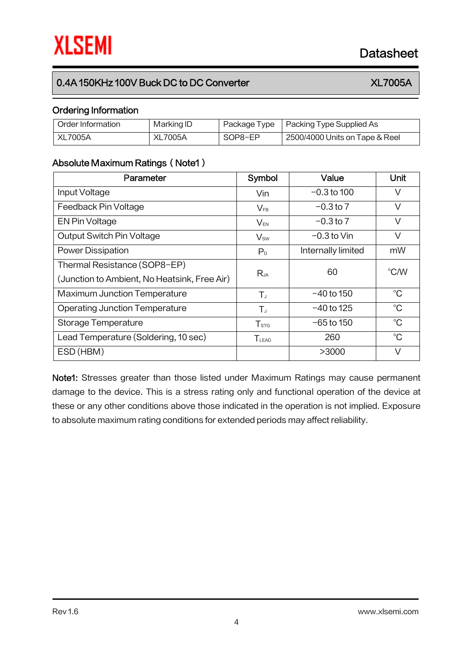# 0.4A 150KHz 100V Buck DC to DC Converter New York New YEAR AND NOTE AND THE RESERVE TO A RESERVE THE UPSTALL

# Ordering Information

| Order Information | Marking ID |         | Package Type   Packing Type Supplied As |
|-------------------|------------|---------|-----------------------------------------|
| XL7005A           | XL7005A    | SOP8-EP | 2500/4000 Units on Tape & Reel          |

### Absolute Maximum Ratings (Note1)

| Parameter                                    | Symbol           | Value              | Unit        |  |
|----------------------------------------------|------------------|--------------------|-------------|--|
| Input Voltage                                | Vin              | $-0.3$ to 100      | V           |  |
| Feedback Pin Voltage                         | $V_{FB}$         | $-0.3$ to 7        | V           |  |
| EN Pin Voltage                               | $V_{EN}$         | $-0.3$ to 7        | V           |  |
| Output Switch Pin Voltage                    | $V_{sw}$         | $-0.3$ to Vin      | V           |  |
| <b>Power Dissipation</b>                     | P <sub>D</sub>   | Internally limited | mW          |  |
| Thermal Resistance (SOP8-EP)                 | Rja              | 60                 | °C/W        |  |
| (Junction to Ambient, No Heatsink, Free Air) |                  |                    |             |  |
| <b>Maximum Junction Temperature</b>          | $T_{J}$          | $-40$ to 150       | $^{\circ}C$ |  |
| <b>Operating Junction Temperature</b>        | $T_{J}$          | $-40$ to 125       | $^{\circ}C$ |  |
| Storage Temperature                          | T <sub>STG</sub> | $-65$ to 150       | $^{\circ}C$ |  |
| Lead Temperature (Soldering, 10 sec)         | $T_{LEAD}$       | 260                | $^{\circ}C$ |  |
| ESD (HBM)                                    |                  | >3000              | V           |  |

Note1: Stresses greater than those listed under Maximum Ratings may cause permanent damage to the device. This is a stress rating only and functional operation of the device at these or any other conditions above those indicated in the operation is not implied. Exposure to absolute maximum rating conditions for extended periods may affect reliability.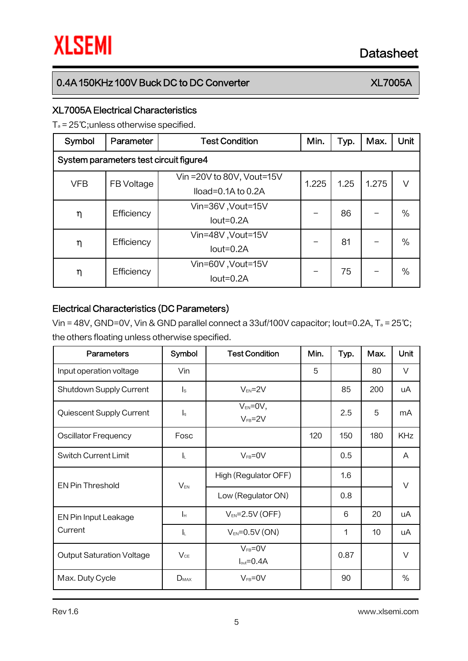# 0.4A 150KHz 100V Buck DC to DC Converter XL7005A

## XL7005A Electrical Characteristics

T<sup>a</sup> = 25℃;unless otherwise specified.

| Symbol                                 | Parameter  | <b>Test Condition</b>      | Min.  | Typ. | Max.  | Unit |  |
|----------------------------------------|------------|----------------------------|-------|------|-------|------|--|
| System parameters test circuit figure4 |            |                            |       |      |       |      |  |
| <b>VFB</b>                             | FB Voltage | Vin = 20V to 80V, Vout=15V | 1.225 | 1.25 | 1.275 | V    |  |
|                                        |            | $Iload=0.1A$ to 0.2A       |       |      |       |      |  |
| η                                      | Efficiency | Vin=36V, Vout=15V          |       | 86   |       | $\%$ |  |
|                                        |            | $Iout=0.2A$                |       |      |       |      |  |
| η                                      | Efficiency | Vin=48V, Vout=15V          |       | 81   |       | $\%$ |  |
|                                        |            | $Iout=0.2A$                |       |      |       |      |  |
| η                                      | Efficiency | Vin=60V, Vout=15V          |       | 75   |       | $\%$ |  |
|                                        |            | $Iout=0.2A$                |       |      |       |      |  |

## Electrical Characteristics (DC Parameters)

Vin = 48V, GND=0V, Vin & GND parallel connect a 33uf/100V capacitor; Iout=0.2A, T<sup>a</sup> = 25℃; the others floating unless otherwise specified.

| <b>Parameters</b>                | Symbol                    | <b>Test Condition</b>                    | Min. | Typ. | Max. | <b>Unit</b> |
|----------------------------------|---------------------------|------------------------------------------|------|------|------|-------------|
| Input operation voltage          | Vin                       |                                          | 5    |      | 80   | V           |
| Shutdown Supply Current          | $\mathsf{I}_\mathsf{S}$   | $V_{EN} = 2V$                            |      | 85   | 200  | uA          |
| Quiescent Supply Current         | $\mathsf{I}_{\mathsf{q}}$ | $V_{EN} = 0V$ ,<br>$V_{FB} = 2V$         |      | 2.5  | 5    | mA          |
| <b>Oscillator Frequency</b>      | Fosc                      |                                          | 120  | 150  | 180  | <b>KHz</b>  |
| <b>Switch Current Limit</b>      | ΙL.                       | $V_{FB} = 0V$                            |      | 0.5  |      | A           |
| <b>EN Pin Threshold</b>          | $V_{EN}$                  | High (Regulator OFF)                     |      | 1.6  |      | V           |
|                                  |                           | Low (Regulator ON)                       |      | 0.8  |      |             |
| EN Pin Input Leakage             | Iн                        | $V_{EN} = 2.5V$ (OFF)                    |      | 6    | 20   | uA          |
| Current                          | -lu                       | $V_{EN} = 0.5V (ON)$                     |      | 1    | 10   | uA          |
| <b>Output Saturation Voltage</b> | $V_{CE}$                  | $V_{FB} = 0V$<br>$I_{\text{out}} = 0.4A$ |      | 0.87 |      | $\vee$      |
| Max. Duty Cycle                  | $D_{MAX}$                 | $V_{FB} = 0V$                            |      | 90   |      | $\%$        |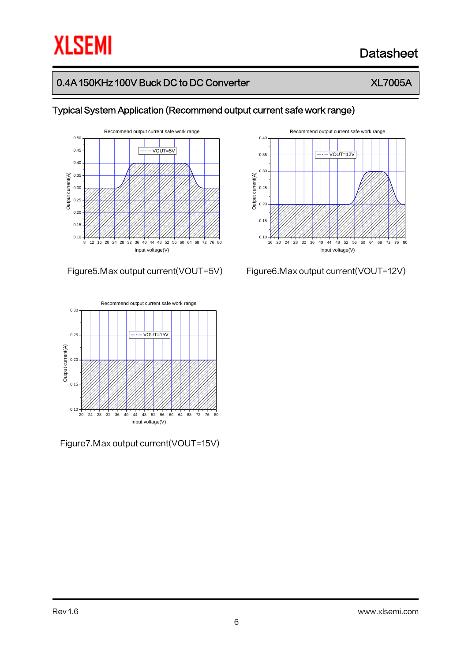# **XLSEMI**

# Datasheet

# 0.4A 150KHz 100V Buck DC to DC Converter XLT Number 2014

Typical System Application (Recommend output current safe work range)



### Figure5.Max output current(VOUT=5V) Figure6.Max output current(VOUT=12V)



Figure7.Max output current(VOUT=15V)

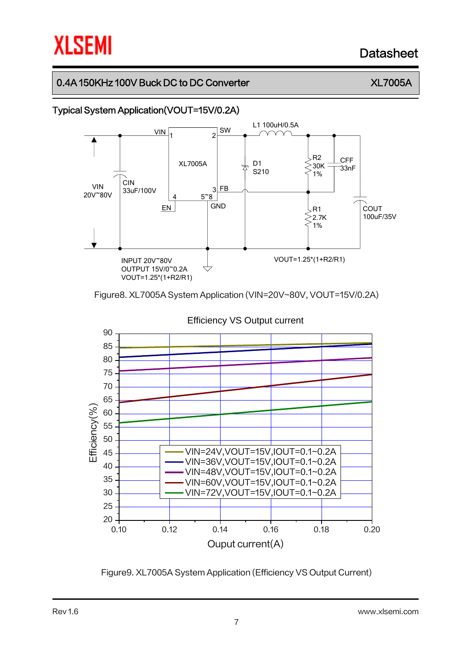# **XLSEMI**

# Datasheet

# 0.4A 150KHz 100V Buck DC to DC Converter  $XL7005A$

# Typical System Application(VOUT=15V/0.2A)



Figure8. XL7005A System Application (VIN=20V~80V, VOUT=15V/0.2A)



Figure9. XL7005A System Application (Efficiency VS Output Current)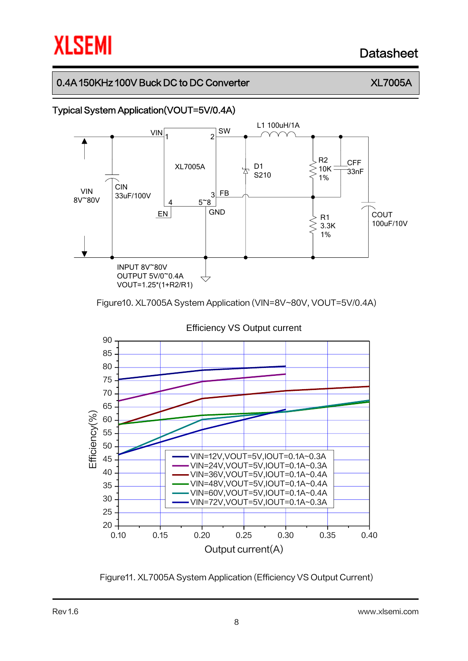# **XLSEMI**

# Datasheet

# 0.4A 150KHz 100V Buck DC to DC Converter  $XL7005A$

# Typical System Application(VOUT=5V/0.4A)



Figure10. XL7005A System Application (VIN=8V~80V, VOUT=5V/0.4A)



Figure11. XL7005A System Application (Efficiency VS Output Current)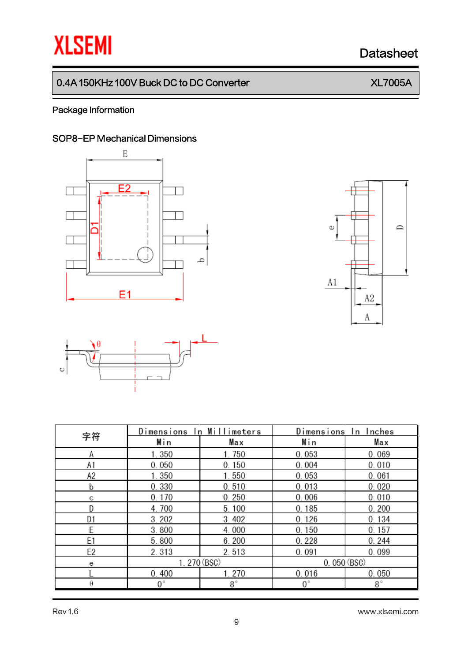# **XLSEMI** Datasheet

# 0.4A 150KHz 100V Buck DC to DC Converter XL7005A

## Package Information

# SOP8-EP Mechanical Dimensions







| 字符             | Dimensions In Millimeters |             | Dimensions In Inches |             |  |
|----------------|---------------------------|-------------|----------------------|-------------|--|
|                | Min                       | Max         | Min                  | Max         |  |
| Α              | 1.350                     | 1.750       | 0.053                | 0.069       |  |
| A1             | 0.050                     | 0.150       | 0.004                | 0.010       |  |
| А2             | 1.350                     | 1.550       | 0.053                | 0.061       |  |
| b              | 0.330                     | 0.510       | 0.013                | 0.020       |  |
| с              | 0.170                     | 0.250       | 0.006                | 0.010       |  |
| D              | 4.700                     | 5.100       | 0.185                | 0.200       |  |
| D1             | 3.202                     | 3.402       | 0.126                | 0.134       |  |
| E              | 3.800                     | 4.000       | 0.150                | 0.157       |  |
| E <sub>1</sub> | 5.800                     | 6.200       | 0.228                | 0.244       |  |
| E2             | 2.313                     | 2.513       | 0.091                | 0.099       |  |
| е              | 1.270 (BSC)               |             | 0.050(BSC)           |             |  |
|                | 0.400                     | 1.270       | 0.016                | 0.050       |  |
| θ              | $0^{\circ}$               | $8^{\circ}$ | $0^{\circ}$          | $8^{\circ}$ |  |